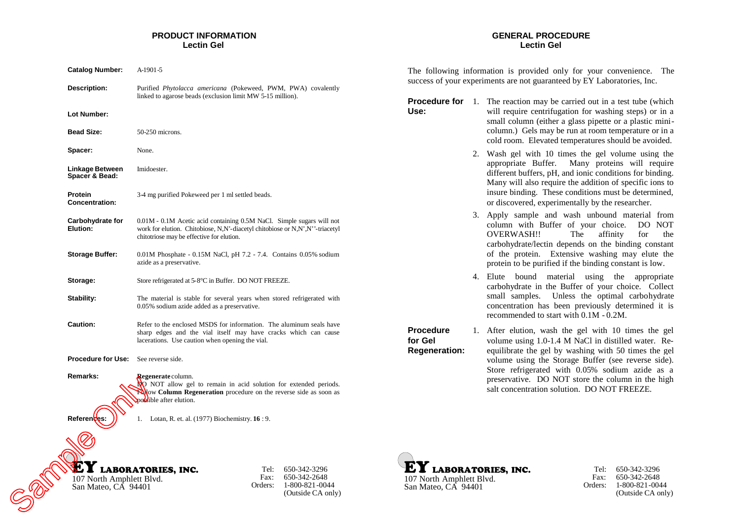## **PRODUCT INFORMATION Lectin Gel**

| <b>Catalog Number:</b>                          | A-1901-5                                                                                                                                                                                           |
|-------------------------------------------------|----------------------------------------------------------------------------------------------------------------------------------------------------------------------------------------------------|
| Description:                                    | Purified Phytolacca americana (Pokeweed, PWM, PWA) covalently<br>linked to agarose beads (exclusion limit MW 5-15 million).                                                                        |
| Lot Number:                                     |                                                                                                                                                                                                    |
| <b>Bead Size:</b>                               | 50-250 microns.                                                                                                                                                                                    |
| Spacer:                                         | None.                                                                                                                                                                                              |
| Linkage Between<br>Spacer & Bead:               | Imidoester.                                                                                                                                                                                        |
| Protein<br><b>Concentration:</b>                | 3-4 mg purified Pokeweed per 1 ml settled beads.                                                                                                                                                   |
| Carbohydrate for<br>Elution:                    | 0.01M - 0.1M Acetic acid containing 0.5M NaCl. Simple sugars will not<br>work for elution. Chitobiose, N,N'-diacetyl chitobiose or N,N',N''-triacetyl<br>chitotriose may be effective for elution. |
| <b>Storage Buffer:</b>                          | 0.01M Phosphate - 0.15M NaCl, pH 7.2 - 7.4. Contains 0.05% sodium<br>azide as a preservative.                                                                                                      |
| Storage:                                        | Store refrigerated at 5-8°C in Buffer. DO NOT FREEZE.                                                                                                                                              |
| Stability:                                      | The material is stable for several years when stored refrigerated with<br>0.05% sodium azide added as a preservative.                                                                              |
| <b>Caution:</b>                                 | Refer to the enclosed MSDS for information. The aluminum seals have<br>sharp edges and the vial itself may have cracks which can cause<br>lacerations. Use caution when opening the vial.          |
| <b>Procedure for Use:</b>                       | See reverse side.                                                                                                                                                                                  |
| Remarks:                                        | Regenerate column.<br>NO NOT allow gel to remain in acid solution for extended periods.<br>Follow Column Regeneration procedure on the reverse side as soon as<br>possible after elution.          |
| References:                                     | 1.<br>Lotan, R. et. al. $(1977)$ Biochemistry. $16:9$ .                                                                                                                                            |
| 107 North Amphlett Blvd.<br>San Mateo, CA 94401 | <b>LABORATORIES, INC.</b><br>650-342-3296<br>Tel:<br>Fax:<br>650-342-2648<br>1-800-821-0044<br>Orders:<br>(Outside CA only)                                                                        |

### **GENERAL PROCEDURE Lectin Gel**

The following information is provided only for your convenience. The success of your experiments are not guaranteed by EY Laboratories, Inc.

**Procedure for** 1. The reaction may be carried out in a test tube (which **Use:** will require centrifugation for washing steps) or in a small column (either a glass pipette or a plastic minicolumn.) Gels may be run at room temperature or in a cold room. Elevated temperatures should be avoided.

- 2. Wash gel with 10 times the gel volume using the appropriate Buffer. Many proteins will require different buffers, pH, and ionic conditions for binding. Many will also require the addition of specific ions to insure binding. These conditions must be determined, or discovered, experimentally by the researcher.
- 3. Apply sample and wash unbound material from column with Buffer of your choice. DO NOT OVERWASH!! The affinity for the carbohydrate/lectin depends on the binding constant of the protein. Extensive washing may elute the protein to be purified if the binding constant is low.
- 4. Elute bound material using the appropriate carbohydrate in the Buffer of your choice. Collect small samples. Unless the optimal carbohydrate concentration has been previously determined it is recommended to start with 0.1M - 0.2M.

**Procedure for Gel Regeneration:** 1. After elution, wash the gel with 10 times the gel volume using 1.0-1.4 M NaCl in distilled water. Reequilibrate the gel by washing with 50 times the gel volume using the Storage Buffer (see reverse side). Store refrigerated with 0.05% sodium azide as a preservative. DO NOT store the column in the high salt concentration solution. DO NOT FREEZE.





Tel: 650-342-3296 Fax: Orders: 1-800-821-0044 650-342-2648 (Outside CA only)